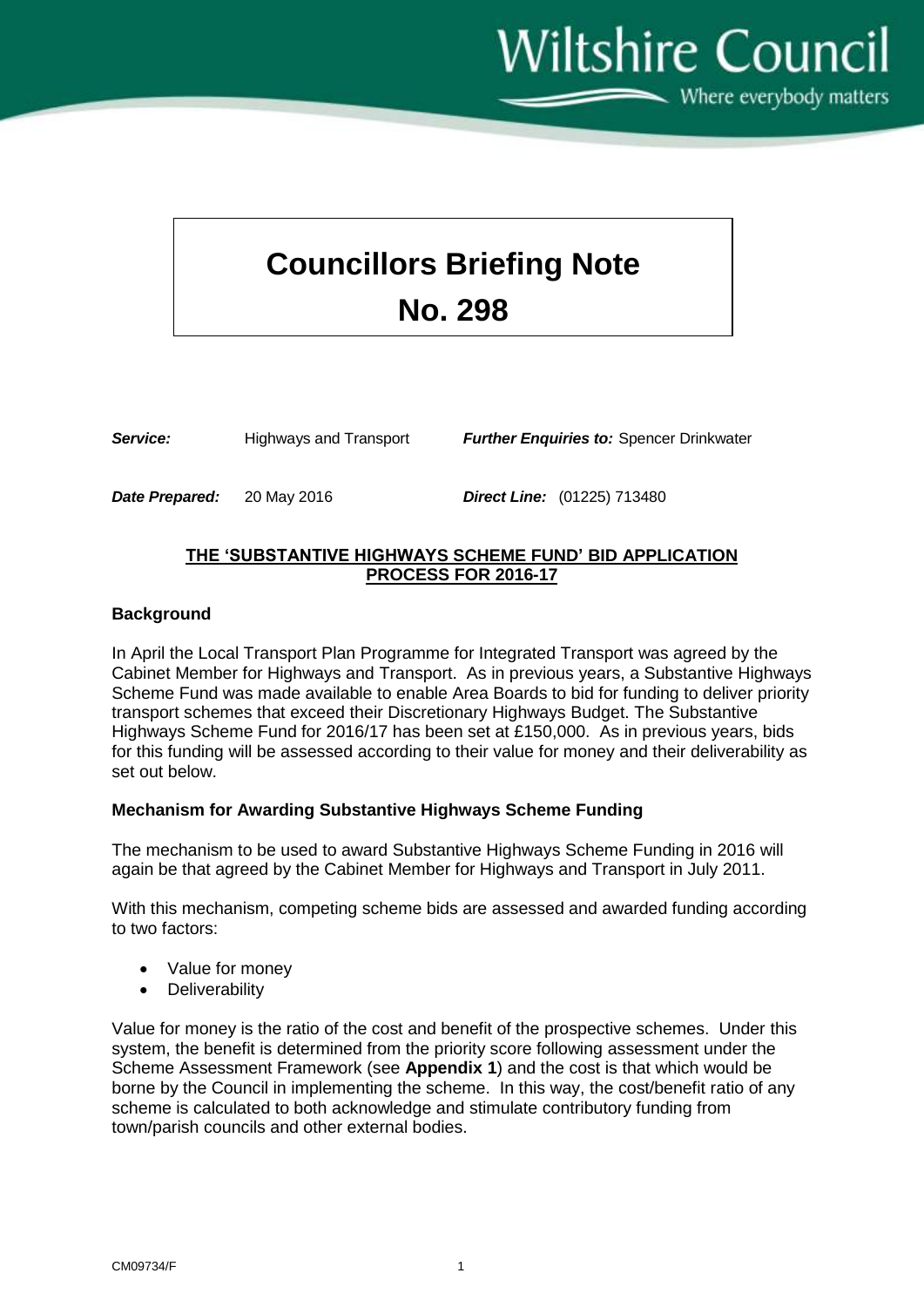**Wiltshire Council** Where everybody matters

# **Councillors Briefing Note No. 298**

| Service: | <b>Highways and Transport</b> | <b>Further Enquiries to: Spencer Drinkwater</b> |
|----------|-------------------------------|-------------------------------------------------|
|          |                               |                                                 |

*Date Prepared:* 20 May 2016 *Direct Line:* (01225) 713480

## **THE 'SUBSTANTIVE HIGHWAYS SCHEME FUND' BID APPLICATION PROCESS FOR 2016-17**

### **Background**

In April the Local Transport Plan Programme for Integrated Transport was agreed by the Cabinet Member for Highways and Transport. As in previous years, a Substantive Highways Scheme Fund was made available to enable Area Boards to bid for funding to deliver priority transport schemes that exceed their Discretionary Highways Budget. The Substantive Highways Scheme Fund for 2016/17 has been set at £150,000. As in previous years, bids for this funding will be assessed according to their value for money and their deliverability as set out below.

### **Mechanism for Awarding Substantive Highways Scheme Funding**

The mechanism to be used to award Substantive Highways Scheme Funding in 2016 will again be that agreed by the Cabinet Member for Highways and Transport in July 2011.

With this mechanism, competing scheme bids are assessed and awarded funding according to two factors:

- Value for money
- Deliverability

Value for money is the ratio of the cost and benefit of the prospective schemes. Under this system, the benefit is determined from the priority score following assessment under the Scheme Assessment Framework (see **Appendix 1**) and the cost is that which would be borne by the Council in implementing the scheme. In this way, the cost/benefit ratio of any scheme is calculated to both acknowledge and stimulate contributory funding from town/parish councils and other external bodies.